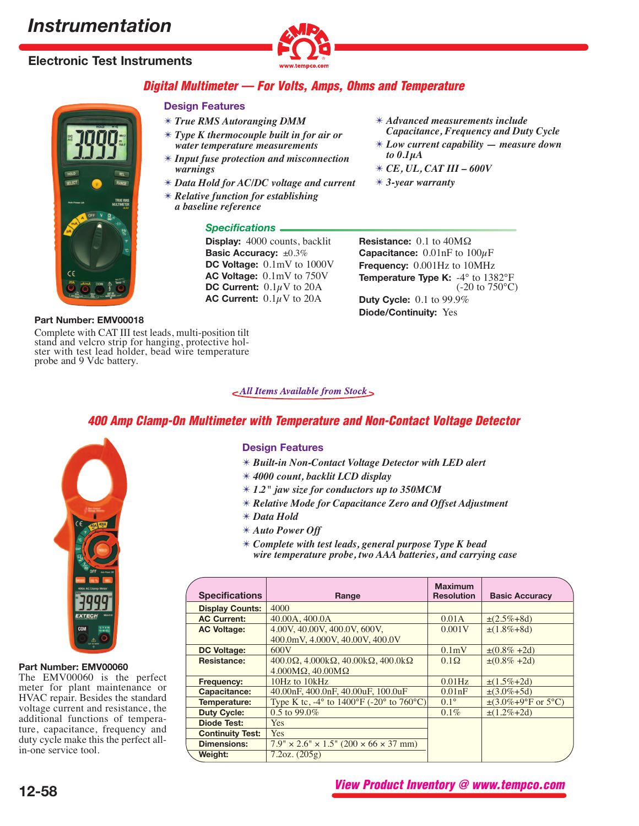# **Electronic Test Instruments**



# **Digital Multimeter — For Volts, Amps, Ohms and Temperature**

# **Design Features**

- ✴ *True RMS Autoranging DMM*
- ✴ *Type K thermocouple built in for air or water temperature measurements*
- ✴ *Input fuse protection and misconnection warnings*
- ✴ *Data Hold for AC/DC voltage and current*
- ✴ *Relative function for establishing a baseline reference*

## *Specifications*

**Display:** 4000 counts, backlit **Basic Accuracy:** ±0.3% **DC Voltage:** 0.1mV to 1000V **AC Voltage:** 0.1mV to 750V **DC Current:**  $0.1\mu$  V to 20A **AC Current:**  $0.1\mu$ V to 20A

- ✴ *Advanced measurements include Capacitance, Frequency and Duty Cycle*
- ✴ *Low current capability measure down to 0.1μA*
- ✴ *CE, UL, CAT III 600V*
- ✴ *3-year warranty*

**Resistance:** 0.1 to 40MΩ **Capacitance:**  $0.01$ nF to  $100\mu$ F **Frequency:** 0.001Hz to 10MHz **Temperature Type K:**  $-4^{\circ}$  to 1382°F (-20 to 750°C) **Duty Cycle:** 0.1 to 99.9% **Diode/Continuity:** Yes

### **Part Number: EMV00018**

Complete with CAT III test leads, multi-position tilt stand and velcro strip for hanging, protective hol- ster with test lead holder, bead wire temperature probe and 9 Vdc battery.

 $\epsilon$ All Items Available from Stock

# **400 Amp Clamp-On Multimeter with Temperature and Non-Contact Voltage Detector**



#### **Part Number: EMV00060**

The EMV00060 is the perfect meter for plant maintenance or HVAC repair. Besides the standard voltage current and resistance, the additional functions of temperature, capacitance, frequency and duty cycle make this the perfect allin-one service tool.

# **Design Features**

- ✴ *Built-in Non-Contact Voltage Detector with LED alert*
- ✴ *4000 count, backlit LCD display*
- ✴ *1.2" jaw size for conductors up to 350MCM*
- ✴ *Relative Mode for Capacitance Zero and Offset Adjustment*
- ✴ *Data Hold*
- ✴ *Auto Power Off*
- ✴ *Complete with test leads, general purpose Type K bead wire temperature probe, two AAA batteries, and carrying case*

|                         |                                                                                 | <b>Maximum</b>    |                                   |
|-------------------------|---------------------------------------------------------------------------------|-------------------|-----------------------------------|
| <b>Specifications</b>   | Range                                                                           | <b>Resolution</b> | <b>Basic Accuracy</b>             |
| <b>Display Counts:</b>  | 4000                                                                            |                   |                                   |
| <b>AC Current:</b>      | 40.00A, 400.0A                                                                  | 0.01A             | $\pm (2.5\% + 8d)$                |
| <b>AC Voltage:</b>      | 4.00V, 40.00V, 400.0V, 600V,                                                    | 0.001V            | $\pm(1.8\% + 8d)$                 |
|                         | 400.0mV, 4.000V, 40.00V, 400.0V                                                 |                   |                                   |
| <b>DC Voltage:</b>      | 600V                                                                            | 0.1mV             | $\pm (0.8\% + 2d)$                |
| Resistance:             | $400.0\Omega$ , $4.000k\Omega$ , $40.00k\Omega$ , $400.0k\Omega$                | $0.1\Omega$       | $\pm (0.8\% + 2d)$                |
|                         | $4.000\text{M}\Omega$ , $40.00\text{M}\Omega$                                   |                   |                                   |
| Frequency:              | 10Hz to 10kHz                                                                   | $0.01$ Hz         | $\pm(1.5\% + 2d)$                 |
| Capacitance:            | 40.00nF, 400.0nF, 40.00uF, 100.0uF                                              | 0.01nF            | $\pm(3.0\% + 5d)$                 |
| Temperature:            | Type K tc, $-4^{\circ}$ to $1400^{\circ}$ F ( $-20^{\circ}$ to $760^{\circ}$ C) | $0.1^{\circ}$     | $\pm(3.0\% + 9^{\circ}$ F or 5°C) |
| <b>Duty Cycle:</b>      | $0.5$ to 99.0%                                                                  | $0.1\%$           | $\pm(1.2\% + 2d)$                 |
| <b>Diode Test:</b>      | <b>Yes</b>                                                                      |                   |                                   |
| <b>Continuity Test:</b> | <b>Yes</b>                                                                      |                   |                                   |
| <b>Dimensions:</b>      | $7.9'' \times 2.6'' \times 1.5''$ (200 $\times$ 66 $\times$ 37 mm)              |                   |                                   |
| Weight:                 | 7.2oz. (205g)                                                                   |                   |                                   |